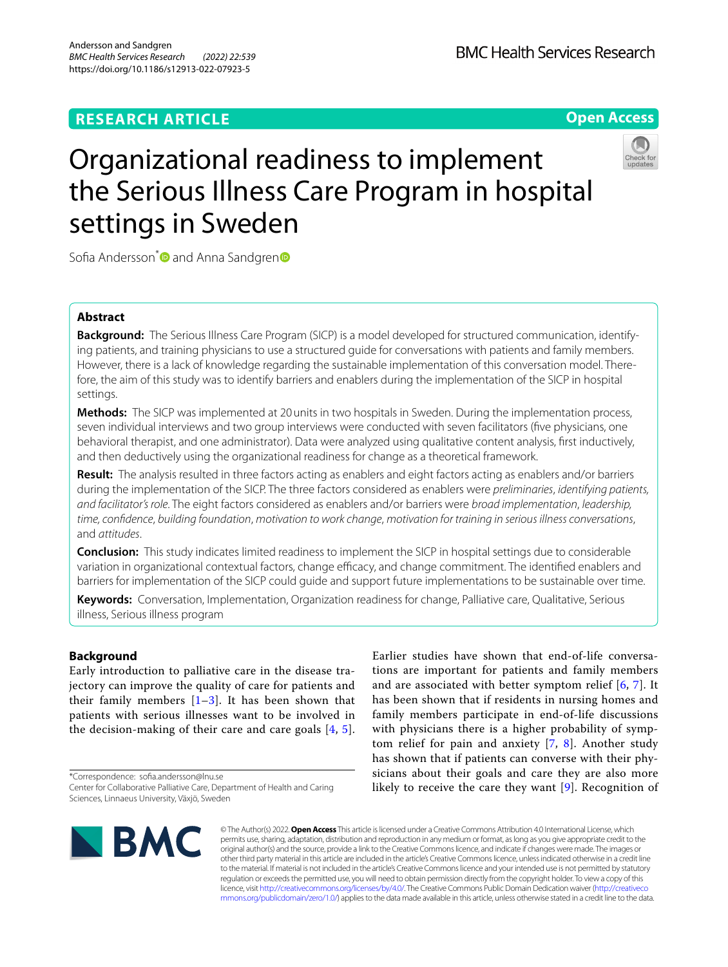## **RESEARCH ARTICLE**



# Organizational readiness to implement the Serious Illness Care Program in hospital settings in Sweden



Sofia Andersson<sup>[\\*](http://orcid.org/0000-0002-1728-5722)</sup> a[n](http://orcid.org/0000-0002-3155-575X)d Anna Sandgren<sup>®</sup>

## **Abstract**

**Background:** The Serious Illness Care Program (SICP) is a model developed for structured communication, identifying patients, and training physicians to use a structured guide for conversations with patients and family members. However, there is a lack of knowledge regarding the sustainable implementation of this conversation model. Therefore, the aim of this study was to identify barriers and enablers during the implementation of the SICP in hospital settings.

**Methods:** The SICP was implemented at 20units in two hospitals in Sweden. During the implementation process, seven individual interviews and two group interviews were conducted with seven facilitators (fve physicians, one behavioral therapist, and one administrator). Data were analyzed using qualitative content analysis, frst inductively, and then deductively using the organizational readiness for change as a theoretical framework.

**Result:** The analysis resulted in three factors acting as enablers and eight factors acting as enablers and/or barriers during the implementation of the SICP. The three factors considered as enablers were *preliminaries*, *identifying patients, and facilitator's role*. The eight factors considered as enablers and/or barriers were *broad implementation*, *leadership, time, confdence*, *building foundation*, *motivation to work change*, *motivation for training in serious illness conversations*, and *attitudes*.

**Conclusion:** This study indicates limited readiness to implement the SICP in hospital settings due to considerable variation in organizational contextual factors, change efficacy, and change commitment. The identified enablers and barriers for implementation of the SICP could guide and support future implementations to be sustainable over time.

**Keywords:** Conversation, Implementation, Organization readiness for change, Palliative care, Qualitative, Serious illness, Serious illness program

## **Background**

Early introduction to palliative care in the disease trajectory can improve the quality of care for patients and their family members  $[1-3]$  $[1-3]$ . It has been shown that patients with serious illnesses want to be involved in the decision-making of their care and care goals  $[4, 5]$  $[4, 5]$  $[4, 5]$ .

\*Correspondence: sofa.andersson@lnu.se

Earlier studies have shown that end-of-life conversations are important for patients and family members and are associated with better symptom relief [[6,](#page-8-4) [7](#page-8-5)]. It has been shown that if residents in nursing homes and family members participate in end-of-life discussions with physicians there is a higher probability of symptom relief for pain and anxiety [\[7](#page-8-5), [8](#page-8-6)]. Another study has shown that if patients can converse with their physicians about their goals and care they are also more likely to receive the care they want [[9\]](#page-8-7). Recognition of



© The Author(s) 2022. **Open Access** This article is licensed under a Creative Commons Attribution 4.0 International License, which permits use, sharing, adaptation, distribution and reproduction in any medium or format, as long as you give appropriate credit to the original author(s) and the source, provide a link to the Creative Commons licence, and indicate if changes were made. The images or other third party material in this article are included in the article's Creative Commons licence, unless indicated otherwise in a credit line to the material. If material is not included in the article's Creative Commons licence and your intended use is not permitted by statutory regulation or exceeds the permitted use, you will need to obtain permission directly from the copyright holder. To view a copy of this licence, visit [http://creativecommons.org/licenses/by/4.0/.](http://creativecommons.org/licenses/by/4.0/) The Creative Commons Public Domain Dedication waiver ([http://creativeco](http://creativecommons.org/publicdomain/zero/1.0/) [mmons.org/publicdomain/zero/1.0/](http://creativecommons.org/publicdomain/zero/1.0/)) applies to the data made available in this article, unless otherwise stated in a credit line to the data.

Center for Collaborative Palliative Care, Department of Health and Caring Sciences, Linnaeus University, Växjö, Sweden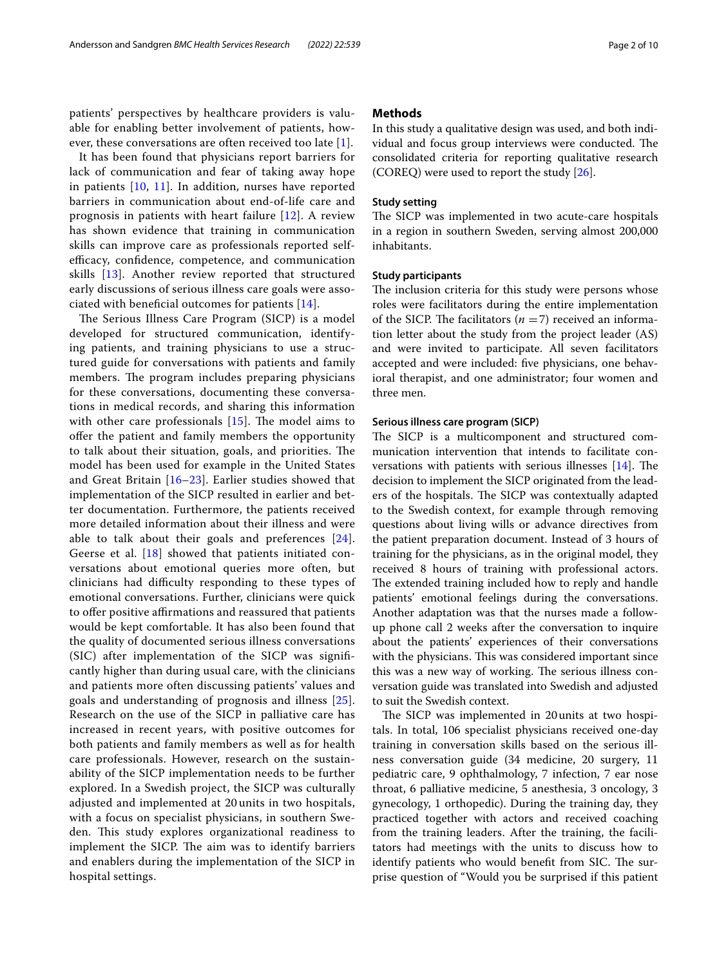patients' perspectives by healthcare providers is valuable for enabling better involvement of patients, however, these conversations are often received too late [[1\]](#page-8-0).

It has been found that physicians report barriers for lack of communication and fear of taking away hope in patients [[10,](#page-8-8) [11\]](#page-8-9). In addition, nurses have reported barriers in communication about end-of-life care and prognosis in patients with heart failure [[12\]](#page-8-10). A review has shown evidence that training in communication skills can improve care as professionals reported selfefficacy, confidence, competence, and communication skills [[13\]](#page-8-11). Another review reported that structured early discussions of serious illness care goals were associated with beneficial outcomes for patients  $[14]$  $[14]$  $[14]$ .

The Serious Illness Care Program (SICP) is a model developed for structured communication, identifying patients, and training physicians to use a structured guide for conversations with patients and family members. The program includes preparing physicians for these conversations, documenting these conversations in medical records, and sharing this information with other care professionals  $[15]$  $[15]$ . The model aims to ofer the patient and family members the opportunity to talk about their situation, goals, and priorities. The model has been used for example in the United States and Great Britain [[16–](#page-8-14)[23](#page-9-0)]. Earlier studies showed that implementation of the SICP resulted in earlier and better documentation. Furthermore, the patients received more detailed information about their illness and were able to talk about their goals and preferences [[24\]](#page-9-1). Geerse et al. [[18\]](#page-8-15) showed that patients initiated conversations about emotional queries more often, but clinicians had difficulty responding to these types of emotional conversations. Further, clinicians were quick to offer positive affirmations and reassured that patients would be kept comfortable. It has also been found that the quality of documented serious illness conversations (SIC) after implementation of the SICP was signifcantly higher than during usual care, with the clinicians and patients more often discussing patients' values and goals and understanding of prognosis and illness [[25\]](#page-9-2). Research on the use of the SICP in palliative care has increased in recent years, with positive outcomes for both patients and family members as well as for health care professionals. However, research on the sustainability of the SICP implementation needs to be further explored. In a Swedish project, the SICP was culturally adjusted and implemented at 20 units in two hospitals, with a focus on specialist physicians, in southern Sweden. This study explores organizational readiness to implement the SICP. The aim was to identify barriers and enablers during the implementation of the SICP in hospital settings.

## **Methods**

In this study a qualitative design was used, and both individual and focus group interviews were conducted. The consolidated criteria for reporting qualitative research (COREQ) were used to report the study [\[26](#page-9-3)].

## **Study setting**

The SICP was implemented in two acute-care hospitals in a region in southern Sweden, serving almost 200,000 inhabitants.

## **Study participants**

The inclusion criteria for this study were persons whose roles were facilitators during the entire implementation of the SICP. The facilitators ( $n = 7$ ) received an information letter about the study from the project leader (AS) and were invited to participate. All seven facilitators accepted and were included: fve physicians, one behavioral therapist, and one administrator; four women and three men.

## **Serious illness care program (SICP)**

The SICP is a multicomponent and structured communication intervention that intends to facilitate conversations with patients with serious illnesses  $[14]$ . The decision to implement the SICP originated from the leaders of the hospitals. The SICP was contextually adapted to the Swedish context, for example through removing questions about living wills or advance directives from the patient preparation document. Instead of 3 hours of training for the physicians, as in the original model, they received 8 hours of training with professional actors. The extended training included how to reply and handle patients' emotional feelings during the conversations. Another adaptation was that the nurses made a followup phone call 2 weeks after the conversation to inquire about the patients' experiences of their conversations with the physicians. This was considered important since this was a new way of working. The serious illness conversation guide was translated into Swedish and adjusted to suit the Swedish context.

The SICP was implemented in 20 units at two hospitals. In total, 106 specialist physicians received one-day training in conversation skills based on the serious illness conversation guide (34 medicine, 20 surgery, 11 pediatric care, 9 ophthalmology, 7 infection, 7 ear nose throat, 6 palliative medicine, 5 anesthesia, 3 oncology, 3 gynecology, 1 orthopedic). During the training day, they practiced together with actors and received coaching from the training leaders. After the training, the facilitators had meetings with the units to discuss how to identify patients who would benefit from SIC. The surprise question of "Would you be surprised if this patient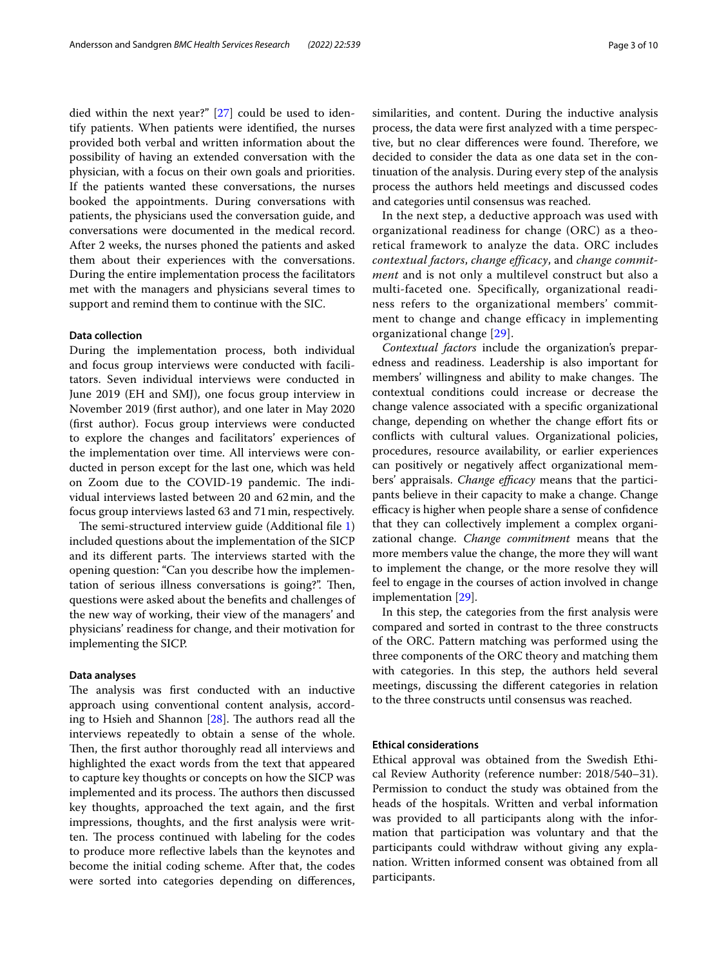died within the next year?" [[27\]](#page-9-4) could be used to identify patients. When patients were identifed, the nurses provided both verbal and written information about the possibility of having an extended conversation with the physician, with a focus on their own goals and priorities. If the patients wanted these conversations, the nurses booked the appointments. During conversations with patients, the physicians used the conversation guide, and conversations were documented in the medical record. After 2 weeks, the nurses phoned the patients and asked them about their experiences with the conversations. During the entire implementation process the facilitators met with the managers and physicians several times to support and remind them to continue with the SIC.

## **Data collection**

During the implementation process, both individual and focus group interviews were conducted with facilitators. Seven individual interviews were conducted in June 2019 (EH and SMJ), one focus group interview in November 2019 (frst author), and one later in May 2020 (frst author). Focus group interviews were conducted to explore the changes and facilitators' experiences of the implementation over time. All interviews were conducted in person except for the last one, which was held on Zoom due to the COVID-19 pandemic. The individual interviews lasted between 20 and 62min, and the focus group interviews lasted 63 and 71min, respectively.

The semi-structured interview guide (Additional file [1](#page-8-16)) included questions about the implementation of the SICP and its different parts. The interviews started with the opening question: "Can you describe how the implementation of serious illness conversations is going?". Then, questions were asked about the benefts and challenges of the new way of working, their view of the managers' and physicians' readiness for change, and their motivation for implementing the SICP.

## **Data analyses**

The analysis was first conducted with an inductive approach using conventional content analysis, according to Hsieh and Shannon  $[28]$  $[28]$ . The authors read all the interviews repeatedly to obtain a sense of the whole. Then, the first author thoroughly read all interviews and highlighted the exact words from the text that appeared to capture key thoughts or concepts on how the SICP was implemented and its process. The authors then discussed key thoughts, approached the text again, and the frst impressions, thoughts, and the frst analysis were written. The process continued with labeling for the codes to produce more refective labels than the keynotes and become the initial coding scheme. After that, the codes were sorted into categories depending on diferences, similarities, and content. During the inductive analysis process, the data were frst analyzed with a time perspective, but no clear differences were found. Therefore, we decided to consider the data as one data set in the continuation of the analysis. During every step of the analysis process the authors held meetings and discussed codes and categories until consensus was reached.

In the next step, a deductive approach was used with organizational readiness for change (ORC) as a theoretical framework to analyze the data. ORC includes *contextual factors*, *change efficacy*, and *change commitment* and is not only a multilevel construct but also a multi-faceted one. Specifically, organizational readiness refers to the organizational members' commitment to change and change efficacy in implementing organizational change [\[29\]](#page-9-6).

*Contextual factors* include the organization's preparedness and readiness. Leadership is also important for members' willingness and ability to make changes. The contextual conditions could increase or decrease the change valence associated with a specifc organizational change, depending on whether the change efort fts or conficts with cultural values. Organizational policies, procedures, resource availability, or earlier experiences can positively or negatively afect organizational members' appraisals. *Change efficacy* means that the participants believe in their capacity to make a change. Change efficacy is higher when people share a sense of confidence that they can collectively implement a complex organizational change. *Change commitment* means that the more members value the change, the more they will want to implement the change, or the more resolve they will feel to engage in the courses of action involved in change implementation [\[29](#page-9-6)].

In this step, the categories from the frst analysis were compared and sorted in contrast to the three constructs of the ORC. Pattern matching was performed using the three components of the ORC theory and matching them with categories. In this step, the authors held several meetings, discussing the diferent categories in relation to the three constructs until consensus was reached.

## **Ethical considerations**

Ethical approval was obtained from the Swedish Ethical Review Authority (reference number: 2018/540–31). Permission to conduct the study was obtained from the heads of the hospitals. Written and verbal information was provided to all participants along with the information that participation was voluntary and that the participants could withdraw without giving any explanation. Written informed consent was obtained from all participants.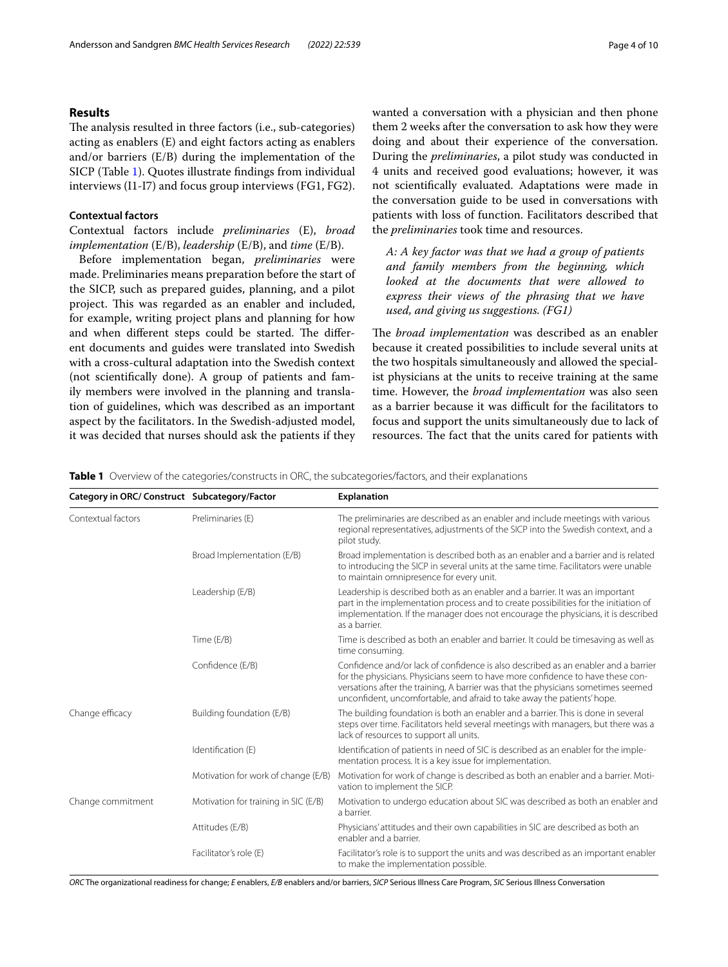## **Results**

The analysis resulted in three factors (i.e., sub-categories) acting as enablers (E) and eight factors acting as enablers and/or barriers (E/B) during the implementation of the SICP (Table [1](#page-3-0)). Quotes illustrate fndings from individual interviews (I1-I7) and focus group interviews (FG1, FG2).

## **Contextual factors**

Contextual factors include *preliminaries* (E), *broad implementation* (E/B), *leadership* (E/B), and *time* (E/B).

Before implementation began, *preliminaries* were made. Preliminaries means preparation before the start of the SICP, such as prepared guides, planning, and a pilot project. This was regarded as an enabler and included, for example, writing project plans and planning for how and when different steps could be started. The different documents and guides were translated into Swedish with a cross-cultural adaptation into the Swedish context (not scientifcally done). A group of patients and family members were involved in the planning and translation of guidelines, which was described as an important aspect by the facilitators. In the Swedish-adjusted model, it was decided that nurses should ask the patients if they wanted a conversation with a physician and then phone them 2 weeks after the conversation to ask how they were doing and about their experience of the conversation. During the *preliminaries*, a pilot study was conducted in 4 units and received good evaluations; however, it was not scientifcally evaluated. Adaptations were made in the conversation guide to be used in conversations with patients with loss of function. Facilitators described that the *preliminaries* took time and resources.

*A: A key factor was that we had a group of patients and family members from the beginning, which looked at the documents that were allowed to express their views of the phrasing that we have used, and giving us suggestions. (FG1)*

The *broad implementation* was described as an enabler because it created possibilities to include several units at the two hospitals simultaneously and allowed the specialist physicians at the units to receive training at the same time. However, the *broad implementation* was also seen as a barrier because it was difficult for the facilitators to focus and support the units simultaneously due to lack of resources. The fact that the units cared for patients with

<span id="page-3-0"></span>**Table 1** Overview of the categories/constructs in ORC, the subcategories/factors, and their explanations

| Category in ORC/ Construct Subcategory/Factor |                                      | <b>Explanation</b>                                                                                                                                                                                                                                                                                                                   |
|-----------------------------------------------|--------------------------------------|--------------------------------------------------------------------------------------------------------------------------------------------------------------------------------------------------------------------------------------------------------------------------------------------------------------------------------------|
| Contextual factors                            | Preliminaries (E)                    | The preliminaries are described as an enabler and include meetings with various<br>regional representatives, adjustments of the SICP into the Swedish context, and a<br>pilot study.                                                                                                                                                 |
|                                               | Broad Implementation (E/B)           | Broad implementation is described both as an enabler and a barrier and is related<br>to introducing the SICP in several units at the same time. Facilitators were unable<br>to maintain omnipresence for every unit.                                                                                                                 |
|                                               | Leadership (E/B)                     | Leadership is described both as an enabler and a barrier. It was an important<br>part in the implementation process and to create possibilities for the initiation of<br>implementation. If the manager does not encourage the physicians, it is described<br>as a barrier.                                                          |
|                                               | Time (E/B)                           | Time is described as both an enabler and barrier. It could be timesaving as well as<br>time consuming.                                                                                                                                                                                                                               |
|                                               | Confidence (E/B)                     | Confidence and/or lack of confidence is also described as an enabler and a barrier<br>for the physicians. Physicians seem to have more confidence to have these con-<br>versations after the training, A barrier was that the physicians sometimes seemed<br>unconfident, uncomfortable, and afraid to take away the patients' hope. |
| Change efficacy                               | Building foundation (E/B)            | The building foundation is both an enabler and a barrier. This is done in several<br>steps over time. Facilitators held several meetings with managers, but there was a<br>lack of resources to support all units.                                                                                                                   |
|                                               | Identification (E)                   | Identification of patients in need of SIC is described as an enabler for the imple-<br>mentation process. It is a key issue for implementation.                                                                                                                                                                                      |
|                                               | Motivation for work of change (E/B)  | Motivation for work of change is described as both an enabler and a barrier. Moti-<br>vation to implement the SICP.                                                                                                                                                                                                                  |
| Change commitment                             | Motivation for training in SIC (E/B) | Motivation to undergo education about SIC was described as both an enabler and<br>a barrier.                                                                                                                                                                                                                                         |
|                                               | Attitudes (E/B)                      | Physicians' attitudes and their own capabilities in SIC are described as both an<br>enabler and a barrier.                                                                                                                                                                                                                           |
|                                               | Facilitator's role (E)               | Facilitator's role is to support the units and was described as an important enabler<br>to make the implementation possible.                                                                                                                                                                                                         |

*ORC* The organizational readiness for change; *E* enablers, *E/B* enablers and/or barriers, *SICP* Serious Illness Care Program, *SIC* Serious Illness Conversation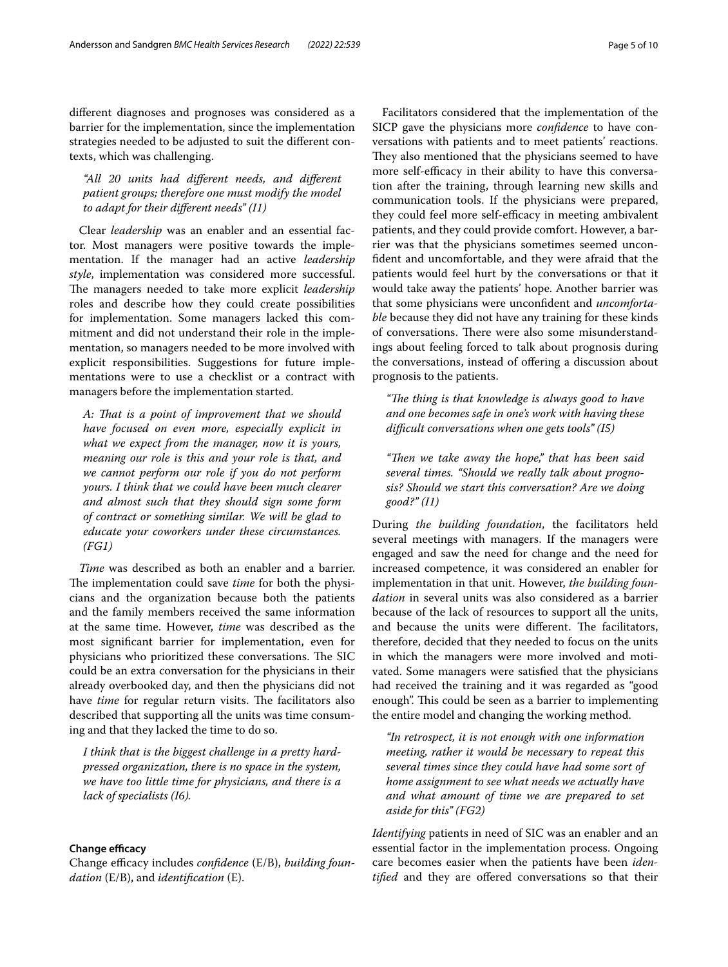diferent diagnoses and prognoses was considered as a barrier for the implementation, since the implementation strategies needed to be adjusted to suit the diferent contexts, which was challenging.

*"All 20 units had diferent needs, and diferent patient groups; therefore one must modify the model to adapt for their diferent needs" (I1)*

Clear *leadership* was an enabler and an essential factor. Most managers were positive towards the implementation. If the manager had an active *leadership style*, implementation was considered more successful. The managers needed to take more explicit *leadership* roles and describe how they could create possibilities for implementation. Some managers lacked this commitment and did not understand their role in the implementation, so managers needed to be more involved with explicit responsibilities. Suggestions for future implementations were to use a checklist or a contract with managers before the implementation started.

*A: Tat is a point of improvement that we should have focused on even more, especially explicit in what we expect from the manager, now it is yours, meaning our role is this and your role is that, and we cannot perform our role if you do not perform yours. I think that we could have been much clearer and almost such that they should sign some form of contract or something similar. We will be glad to educate your coworkers under these circumstances. (FG1)*

*Time* was described as both an enabler and a barrier. The implementation could save *time* for both the physicians and the organization because both the patients and the family members received the same information at the same time. However, *time* was described as the most signifcant barrier for implementation, even for physicians who prioritized these conversations. The SIC could be an extra conversation for the physicians in their already overbooked day, and then the physicians did not have *time* for regular return visits. The facilitators also described that supporting all the units was time consuming and that they lacked the time to do so.

*I think that is the biggest challenge in a pretty hardpressed organization, there is no space in the system, we have too little time for physicians, and there is a lack of specialists (I6).*

## **Change efficacy**

Change efficacy includes *confidence* (E/B), *building foundation* (E/B), and *identifcation* (E).

Facilitators considered that the implementation of the SICP gave the physicians more *confdence* to have conversations with patients and to meet patients' reactions. They also mentioned that the physicians seemed to have more self-efficacy in their ability to have this conversation after the training, through learning new skills and communication tools. If the physicians were prepared, they could feel more self-efficacy in meeting ambivalent patients, and they could provide comfort. However, a barrier was that the physicians sometimes seemed unconfdent and uncomfortable, and they were afraid that the patients would feel hurt by the conversations or that it would take away the patients' hope. Another barrier was that some physicians were unconfdent and *uncomfortable* because they did not have any training for these kinds of conversations. There were also some misunderstandings about feeling forced to talk about prognosis during the conversations, instead of offering a discussion about prognosis to the patients.

"The thing is that knowledge is always good to have *and one becomes safe in one's work with having these difcult conversations when one gets tools" (I5)*

"Then we take away the hope," that has been said *several times. "Should we really talk about prognosis? Should we start this conversation? Are we doing good?" (I1)*

During *the building foundation*, the facilitators held several meetings with managers. If the managers were engaged and saw the need for change and the need for increased competence, it was considered an enabler for implementation in that unit. However, *the building foundation* in several units was also considered as a barrier because of the lack of resources to support all the units, and because the units were different. The facilitators, therefore, decided that they needed to focus on the units in which the managers were more involved and motivated. Some managers were satisfed that the physicians had received the training and it was regarded as "good enough". This could be seen as a barrier to implementing the entire model and changing the working method.

*"In retrospect, it is not enough with one information meeting, rather it would be necessary to repeat this several times since they could have had some sort of home assignment to see what needs we actually have and what amount of time we are prepared to set aside for this" (FG2)*

*Identifying* patients in need of SIC was an enabler and an essential factor in the implementation process. Ongoing care becomes easier when the patients have been *identifed* and they are ofered conversations so that their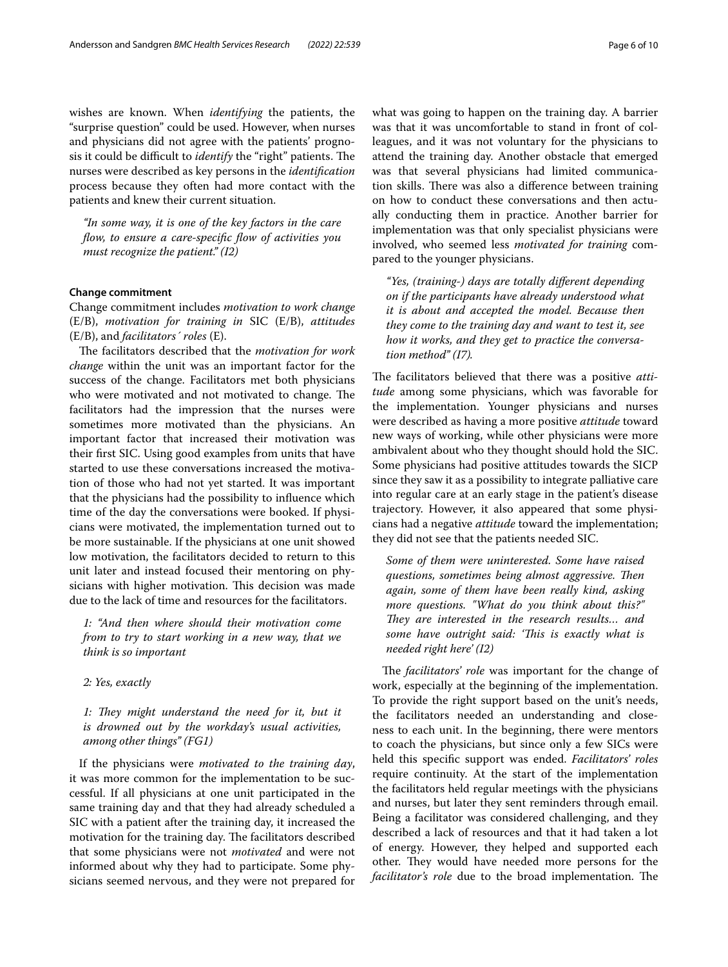wishes are known. When *identifying* the patients, the "surprise question" could be used. However, when nurses and physicians did not agree with the patients' prognosis it could be difficult to *identify* the "right" patients. The nurses were described as key persons in the *identifcation* process because they often had more contact with the patients and knew their current situation.

*"In some way, it is one of the key factors in the care fow, to ensure a care-specifc fow of activities you must recognize the patient." (I2)*

## **Change commitment**

Change commitment includes *motivation to work change* (E/B), *motivation for training in* SIC (E/B), *attitudes* (E/B), and *facilitators´ roles* (E).

The facilitators described that the *motivation for work change* within the unit was an important factor for the success of the change. Facilitators met both physicians who were motivated and not motivated to change. The facilitators had the impression that the nurses were sometimes more motivated than the physicians. An important factor that increased their motivation was their frst SIC. Using good examples from units that have started to use these conversations increased the motivation of those who had not yet started. It was important that the physicians had the possibility to infuence which time of the day the conversations were booked. If physicians were motivated, the implementation turned out to be more sustainable. If the physicians at one unit showed low motivation, the facilitators decided to return to this unit later and instead focused their mentoring on physicians with higher motivation. This decision was made due to the lack of time and resources for the facilitators.

*1: "And then where should their motivation come from to try to start working in a new way, that we think is so important*

*2: Yes, exactly*

1: They might understand the need for it, but it *is drowned out by the workday's usual activities, among other things" (FG1)*

If the physicians were *motivated to the training day*, it was more common for the implementation to be successful. If all physicians at one unit participated in the same training day and that they had already scheduled a SIC with a patient after the training day, it increased the motivation for the training day. The facilitators described that some physicians were not *motivated* and were not informed about why they had to participate. Some physicians seemed nervous, and they were not prepared for what was going to happen on the training day. A barrier was that it was uncomfortable to stand in front of colleagues, and it was not voluntary for the physicians to attend the training day. Another obstacle that emerged was that several physicians had limited communication skills. There was also a difference between training on how to conduct these conversations and then actually conducting them in practice. Another barrier for implementation was that only specialist physicians were involved, who seemed less *motivated for training* compared to the younger physicians.

*"Yes, (training-) days are totally diferent depending on if the participants have already understood what it is about and accepted the model. Because then they come to the training day and want to test it, see how it works, and they get to practice the conversation method" (I7).*

The facilitators believed that there was a positive *attitude* among some physicians, which was favorable for the implementation. Younger physicians and nurses were described as having a more positive *attitude* toward new ways of working, while other physicians were more ambivalent about who they thought should hold the SIC. Some physicians had positive attitudes towards the SICP since they saw it as a possibility to integrate palliative care into regular care at an early stage in the patient's disease trajectory. However, it also appeared that some physicians had a negative *attitude* toward the implementation; they did not see that the patients needed SIC.

*Some of them were uninterested. Some have raised questions, sometimes being almost aggressive. Then again, some of them have been really kind, asking more questions. "What do you think about this?"*  They are interested in the research results... and *some have outright said: 'This is exactly what is needed right here' (I2)*

The *facilitators' role* was important for the change of work, especially at the beginning of the implementation. To provide the right support based on the unit's needs, the facilitators needed an understanding and closeness to each unit. In the beginning, there were mentors to coach the physicians, but since only a few SICs were held this specifc support was ended. *Facilitators' roles* require continuity. At the start of the implementation the facilitators held regular meetings with the physicians and nurses, but later they sent reminders through email. Being a facilitator was considered challenging, and they described a lack of resources and that it had taken a lot of energy. However, they helped and supported each other. They would have needed more persons for the *facilitator's role* due to the broad implementation. The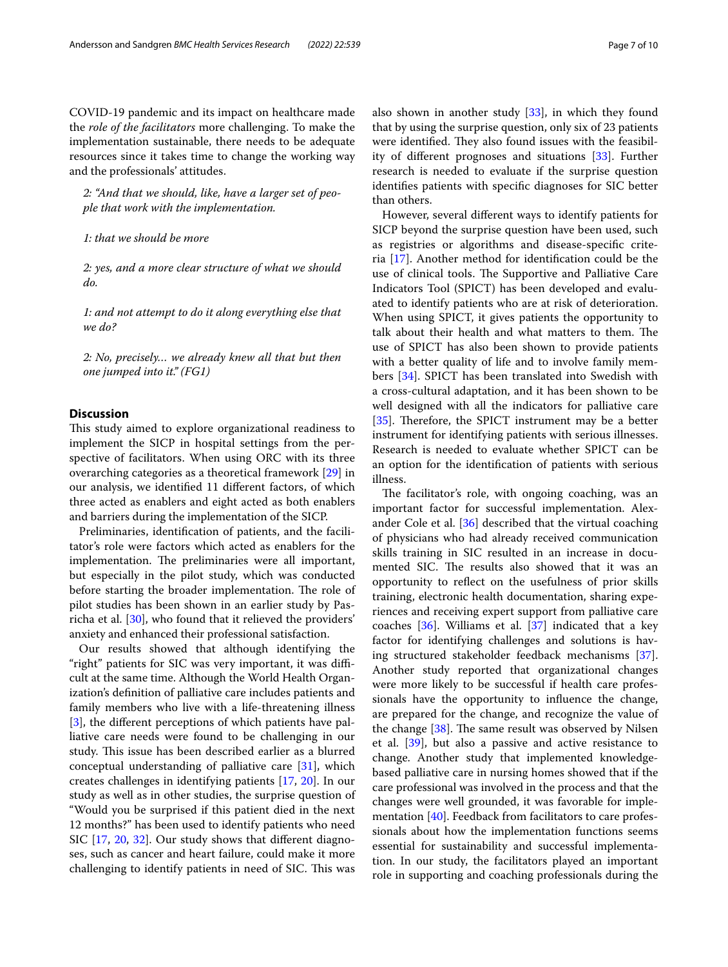COVID-19 pandemic and its impact on healthcare made the *role of the facilitators* more challenging. To make the implementation sustainable, there needs to be adequate resources since it takes time to change the working way and the professionals' attitudes.

*2: "And that we should, like, have a larger set of people that work with the implementation.*

*1: that we should be more*

*2: yes, and a more clear structure of what we should do.*

*1: and not attempt to do it along everything else that we do?*

*2: No, precisely… we already knew all that but then one jumped into it." (FG1)*

## **Discussion**

This study aimed to explore organizational readiness to implement the SICP in hospital settings from the perspective of facilitators. When using ORC with its three overarching categories as a theoretical framework [[29\]](#page-9-6) in our analysis, we identifed 11 diferent factors, of which three acted as enablers and eight acted as both enablers and barriers during the implementation of the SICP.

Preliminaries, identifcation of patients, and the facilitator's role were factors which acted as enablers for the implementation. The preliminaries were all important, but especially in the pilot study, which was conducted before starting the broader implementation. The role of pilot studies has been shown in an earlier study by Pasricha et al. [[30\]](#page-9-7), who found that it relieved the providers' anxiety and enhanced their professional satisfaction.

Our results showed that although identifying the "right" patients for SIC was very important, it was difficult at the same time. Although the World Health Organization's defnition of palliative care includes patients and family members who live with a life-threatening illness [[3\]](#page-8-1), the diferent perceptions of which patients have palliative care needs were found to be challenging in our study. This issue has been described earlier as a blurred conceptual understanding of palliative care [\[31](#page-9-8)], which creates challenges in identifying patients [\[17,](#page-8-17) [20](#page-9-9)]. In our study as well as in other studies, the surprise question of "Would you be surprised if this patient died in the next 12 months?" has been used to identify patients who need SIC [\[17](#page-8-17), [20](#page-9-9), [32\]](#page-9-10). Our study shows that diferent diagnoses, such as cancer and heart failure, could make it more challenging to identify patients in need of SIC. This was also shown in another study [[33\]](#page-9-11), in which they found that by using the surprise question, only six of 23 patients were identified. They also found issues with the feasibility of diferent prognoses and situations [\[33](#page-9-11)]. Further research is needed to evaluate if the surprise question identifes patients with specifc diagnoses for SIC better than others.

However, several diferent ways to identify patients for SICP beyond the surprise question have been used, such as registries or algorithms and disease-specifc criteria [\[17](#page-8-17)]. Another method for identifcation could be the use of clinical tools. The Supportive and Palliative Care Indicators Tool (SPICT) has been developed and evaluated to identify patients who are at risk of deterioration. When using SPICT, it gives patients the opportunity to talk about their health and what matters to them. The use of SPICT has also been shown to provide patients with a better quality of life and to involve family members [[34\]](#page-9-12). SPICT has been translated into Swedish with a cross-cultural adaptation, and it has been shown to be well designed with all the indicators for palliative care [[35\]](#page-9-13). Therefore, the SPICT instrument may be a better instrument for identifying patients with serious illnesses. Research is needed to evaluate whether SPICT can be an option for the identifcation of patients with serious illness.

The facilitator's role, with ongoing coaching, was an important factor for successful implementation. Alexander Cole et al. [[36\]](#page-9-14) described that the virtual coaching of physicians who had already received communication skills training in SIC resulted in an increase in documented SIC. The results also showed that it was an opportunity to refect on the usefulness of prior skills training, electronic health documentation, sharing experiences and receiving expert support from palliative care coaches [[36](#page-9-14)]. Williams et al. [[37\]](#page-9-15) indicated that a key factor for identifying challenges and solutions is having structured stakeholder feedback mechanisms [\[37](#page-9-15)]. Another study reported that organizational changes were more likely to be successful if health care professionals have the opportunity to infuence the change, are prepared for the change, and recognize the value of the change  $[38]$  $[38]$ . The same result was observed by Nilsen et al. [\[39](#page-9-17)], but also a passive and active resistance to change. Another study that implemented knowledgebased palliative care in nursing homes showed that if the care professional was involved in the process and that the changes were well grounded, it was favorable for imple-mentation [[40](#page-9-18)]. Feedback from facilitators to care professionals about how the implementation functions seems essential for sustainability and successful implementation. In our study, the facilitators played an important role in supporting and coaching professionals during the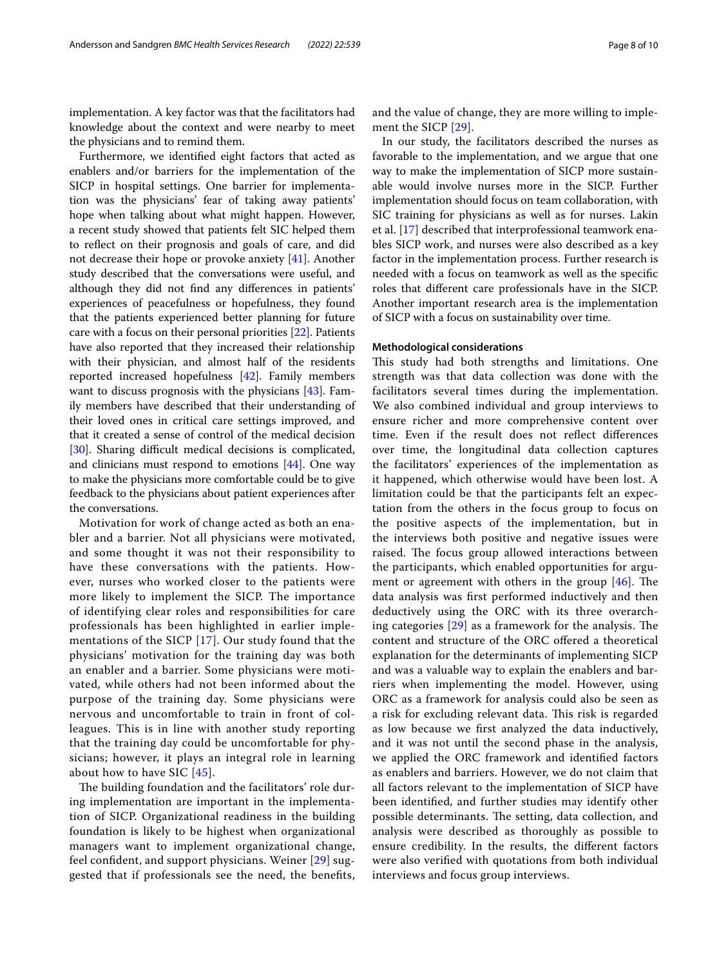implementation. A key factor was that the facilitators had knowledge about the context and were nearby to meet

the physicians and to remind them. Furthermore, we identifed eight factors that acted as enablers and/or barriers for the implementation of the SICP in hospital settings. One barrier for implementation was the physicians' fear of taking away patients' hope when talking about what might happen. However, a recent study showed that patients felt SIC helped them to refect on their prognosis and goals of care, and did not decrease their hope or provoke anxiety [[41](#page-9-19)]. Another study described that the conversations were useful, and although they did not fnd any diferences in patients' experiences of peacefulness or hopefulness, they found that the patients experienced better planning for future care with a focus on their personal priorities [[22](#page-9-20)]. Patients have also reported that they increased their relationship with their physician, and almost half of the residents reported increased hopefulness [\[42\]](#page-9-21). Family members want to discuss prognosis with the physicians [\[43](#page-9-22)]. Family members have described that their understanding of their loved ones in critical care settings improved, and that it created a sense of control of the medical decision [[30\]](#page-9-7). Sharing difficult medical decisions is complicated, and clinicians must respond to emotions [[44](#page-9-23)]. One way to make the physicians more comfortable could be to give feedback to the physicians about patient experiences after the conversations.

Motivation for work of change acted as both an enabler and a barrier. Not all physicians were motivated, and some thought it was not their responsibility to have these conversations with the patients. However, nurses who worked closer to the patients were more likely to implement the SICP. The importance of identifying clear roles and responsibilities for care professionals has been highlighted in earlier implementations of the SICP [[17\]](#page-8-17). Our study found that the physicians' motivation for the training day was both an enabler and a barrier. Some physicians were motivated, while others had not been informed about the purpose of the training day. Some physicians were nervous and uncomfortable to train in front of colleagues. This is in line with another study reporting that the training day could be uncomfortable for physicians; however, it plays an integral role in learning about how to have SIC [[45](#page-9-24)].

The building foundation and the facilitators' role during implementation are important in the implementation of SICP. Organizational readiness in the building foundation is likely to be highest when organizational managers want to implement organizational change, feel confdent, and support physicians. Weiner [[29](#page-9-6)] suggested that if professionals see the need, the benefts, and the value of change, they are more willing to implement the SICP [\[29](#page-9-6)].

In our study, the facilitators described the nurses as favorable to the implementation, and we argue that one way to make the implementation of SICP more sustainable would involve nurses more in the SICP. Further implementation should focus on team collaboration, with SIC training for physicians as well as for nurses. Lakin et al. [[17\]](#page-8-17) described that interprofessional teamwork enables SICP work, and nurses were also described as a key factor in the implementation process. Further research is needed with a focus on teamwork as well as the specifc roles that diferent care professionals have in the SICP. Another important research area is the implementation of SICP with a focus on sustainability over time.

## **Methodological considerations**

This study had both strengths and limitations. One strength was that data collection was done with the facilitators several times during the implementation. We also combined individual and group interviews to ensure richer and more comprehensive content over time. Even if the result does not refect diferences over time, the longitudinal data collection captures the facilitators' experiences of the implementation as it happened, which otherwise would have been lost. A limitation could be that the participants felt an expectation from the others in the focus group to focus on the positive aspects of the implementation, but in the interviews both positive and negative issues were raised. The focus group allowed interactions between the participants, which enabled opportunities for argument or agreement with others in the group  $[46]$  $[46]$ . The data analysis was frst performed inductively and then deductively using the ORC with its three overarching categories  $[29]$  $[29]$  as a framework for the analysis. The content and structure of the ORC ofered a theoretical explanation for the determinants of implementing SICP and was a valuable way to explain the enablers and barriers when implementing the model. However, using ORC as a framework for analysis could also be seen as a risk for excluding relevant data. This risk is regarded as low because we frst analyzed the data inductively, and it was not until the second phase in the analysis, we applied the ORC framework and identifed factors as enablers and barriers. However, we do not claim that all factors relevant to the implementation of SICP have been identifed, and further studies may identify other possible determinants. The setting, data collection, and analysis were described as thoroughly as possible to ensure credibility. In the results, the diferent factors were also verifed with quotations from both individual interviews and focus group interviews.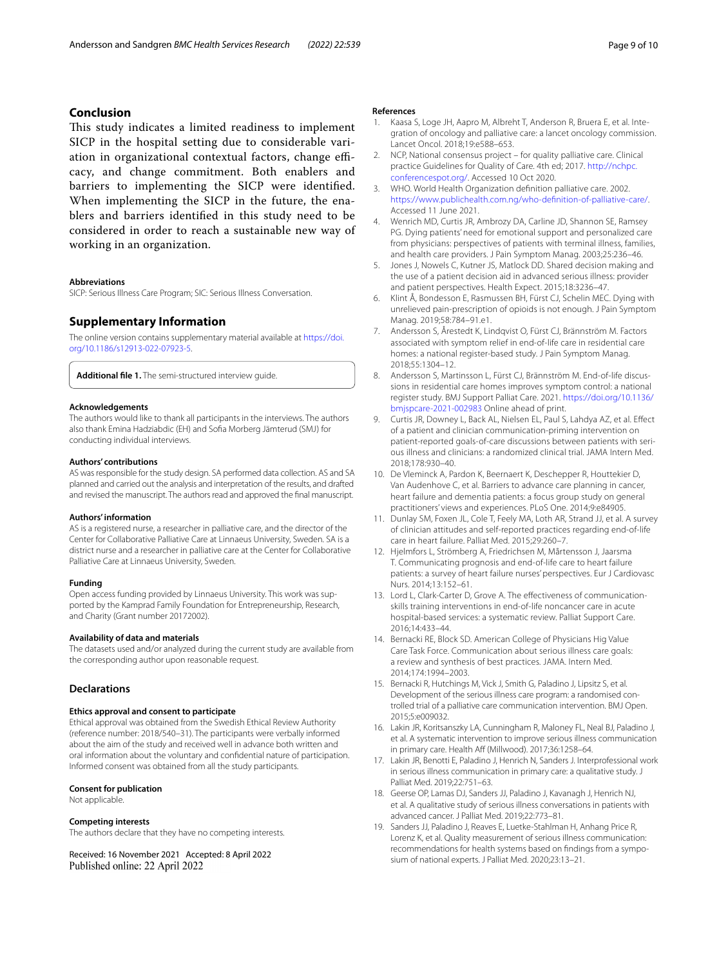## **Conclusion**

This study indicates a limited readiness to implement SICP in the hospital setting due to considerable variation in organizational contextual factors, change efficacy, and change commitment. Both enablers and barriers to implementing the SICP were identifed. When implementing the SICP in the future, the enablers and barriers identifed in this study need to be considered in order to reach a sustainable new way of working in an organization.

#### **Abbreviations**

SICP: Serious Illness Care Program; SIC: Serious Illness Conversation.

## **Supplementary Information**

The online version contains supplementary material available at [https://doi.](https://doi.org/10.1186/s12913-022-07923-5) [org/10.1186/s12913-022-07923-5](https://doi.org/10.1186/s12913-022-07923-5).

<span id="page-8-16"></span>**Additional fle 1.** The semi-structured interview guide.

#### **Acknowledgements**

The authors would like to thank all participants in the interviews. The authors also thank Emina Hadziabdic (EH) and Sofa Morberg Jämterud (SMJ) for conducting individual interviews.

#### **Authors' contributions**

AS was responsible for the study design. SA performed data collection. AS and SA planned and carried out the analysis and interpretation of the results, and drafted and revised the manuscript. The authors read and approved the fnal manuscript.

#### **Authors' information**

AS is a registered nurse, a researcher in palliative care, and the director of the Center for Collaborative Palliative Care at Linnaeus University, Sweden. SA is a district nurse and a researcher in palliative care at the Center for Collaborative Palliative Care at Linnaeus University, Sweden.

#### **Funding**

Open access funding provided by Linnaeus University. This work was supported by the Kamprad Family Foundation for Entrepreneurship, Research, and Charity (Grant number 20172002).

### **Availability of data and materials**

The datasets used and/or analyzed during the current study are available from the corresponding author upon reasonable request.

#### **Declarations**

## **Ethics approval and consent to participate**

Ethical approval was obtained from the Swedish Ethical Review Authority (reference number: 2018/540–31). The participants were verbally informed about the aim of the study and received well in advance both written and oral information about the voluntary and confdential nature of participation. Informed consent was obtained from all the study participants.

#### **Consent for publication**

Not applicable.

#### **Competing interests**

The authors declare that they have no competing interests.

Received: 16 November 2021 Accepted: 8 April 2022 Published online: 22 April 2022

#### **References**

- <span id="page-8-0"></span>1. Kaasa S, Loge JH, Aapro M, Albreht T, Anderson R, Bruera E, et al. Integration of oncology and palliative care: a lancet oncology commission. Lancet Oncol. 2018;19:e588–653.
- 2. NCP, National consensus project for quality palliative care. Clinical practice Guidelines for Quality of Care. 4th ed; 2017. [http://nchpc.](http://nchpc.conferencespot.org/) [conferencespot.org/.](http://nchpc.conferencespot.org/) Accessed 10 Oct 2020.
- <span id="page-8-1"></span>3. WHO. World Health Organization defnition palliative care. 2002. [https://www.publichealth.com.ng/who-defnition-of-palliative-care/](https://www.publichealth.com.ng/who-definition-of-palliative-care/). Accessed 11 June 2021.
- <span id="page-8-2"></span>4. Wenrich MD, Curtis JR, Ambrozy DA, Carline JD, Shannon SE, Ramsey PG. Dying patients' need for emotional support and personalized care from physicians: perspectives of patients with terminal illness, families, and health care providers. J Pain Symptom Manag. 2003;25:236–46.
- <span id="page-8-3"></span>5. Jones J, Nowels C, Kutner JS, Matlock DD. Shared decision making and the use of a patient decision aid in advanced serious illness: provider and patient perspectives. Health Expect. 2015;18:3236–47.
- <span id="page-8-4"></span>6. Klint Å, Bondesson E, Rasmussen BH, Fürst CJ, Schelin MEC. Dying with unrelieved pain-prescription of opioids is not enough. J Pain Symptom Manag. 2019;58:784–91.e1.
- <span id="page-8-5"></span>7. Andersson S, Årestedt K, Lindqvist O, Fürst CJ, Brännström M. Factors associated with symptom relief in end-of-life care in residential care homes: a national register-based study. J Pain Symptom Manag. 2018;55:1304–12.
- <span id="page-8-6"></span>8. Andersson S, Martinsson L, Fürst CJ, Brännström M. End-of-life discussions in residential care homes improves symptom control: a national register study. BMJ Support Palliat Care. 2021. [https://doi.org/10.1136/](https://doi.org/10.1136/bmjspcare-2021-002983) [bmjspcare-2021-002983](https://doi.org/10.1136/bmjspcare-2021-002983) Online ahead of print.
- <span id="page-8-7"></span>9. Curtis JR, Downey L, Back AL, Nielsen EL, Paul S, Lahdya AZ, et al. Efect of a patient and clinician communication-priming intervention on patient-reported goals-of-care discussions between patients with serious illness and clinicians: a randomized clinical trial. JAMA Intern Med. 2018;178:930–40.
- <span id="page-8-8"></span>10. De Vleminck A, Pardon K, Beernaert K, Deschepper R, Houttekier D, Van Audenhove C, et al. Barriers to advance care planning in cancer, heart failure and dementia patients: a focus group study on general practitioners' views and experiences. PLoS One. 2014;9:e84905.
- <span id="page-8-9"></span>11. Dunlay SM, Foxen JL, Cole T, Feely MA, Loth AR, Strand JJ, et al. A survey of clinician attitudes and self-reported practices regarding end-of-life care in heart failure. Palliat Med. 2015;29:260–7.
- <span id="page-8-10"></span>12. Hjelmfors L, Strömberg A, Friedrichsen M, Mårtensson J, Jaarsma T. Communicating prognosis and end-of-life care to heart failure patients: a survey of heart failure nurses' perspectives. Eur J Cardiovasc Nurs. 2014;13:152–61.
- <span id="page-8-11"></span>13. Lord L, Clark-Carter D, Grove A. The efectiveness of communicationskills training interventions in end-of-life noncancer care in acute hospital-based services: a systematic review. Palliat Support Care. 2016;14:433–44.
- <span id="page-8-12"></span>14. Bernacki RE, Block SD. American College of Physicians Hig Value Care Task Force. Communication about serious illness care goals: a review and synthesis of best practices*.* JAMA. Intern Med. 2014;174:1994–2003.
- <span id="page-8-13"></span>15. Bernacki R, Hutchings M, Vick J, Smith G, Paladino J, Lipsitz S, et al. Development of the serious illness care program: a randomised controlled trial of a palliative care communication intervention. BMJ Open. 2015;5:e009032.
- <span id="page-8-14"></span>16. Lakin JR, Koritsanszky LA, Cunningham R, Maloney FL, Neal BJ, Paladino J, et al. A systematic intervention to improve serious illness communication in primary care. Health Aff (Millwood). 2017;36:1258-64.
- <span id="page-8-17"></span>17. Lakin JR, Benotti E, Paladino J, Henrich N, Sanders J. Interprofessional work in serious illness communication in primary care: a qualitative study. J Palliat Med. 2019;22:751–63.
- <span id="page-8-15"></span>18. Geerse OP, Lamas DJ, Sanders JJ, Paladino J, Kavanagh J, Henrich NJ, et al. A qualitative study of serious illness conversations in patients with advanced cancer. J Palliat Med. 2019;22:773–81.
- 19. Sanders JJ, Paladino J, Reaves E, Luetke-Stahlman H, Anhang Price R, Lorenz K, et al. Quality measurement of serious illness communication: recommendations for health systems based on fndings from a symposium of national experts. J Palliat Med. 2020;23:13–21.